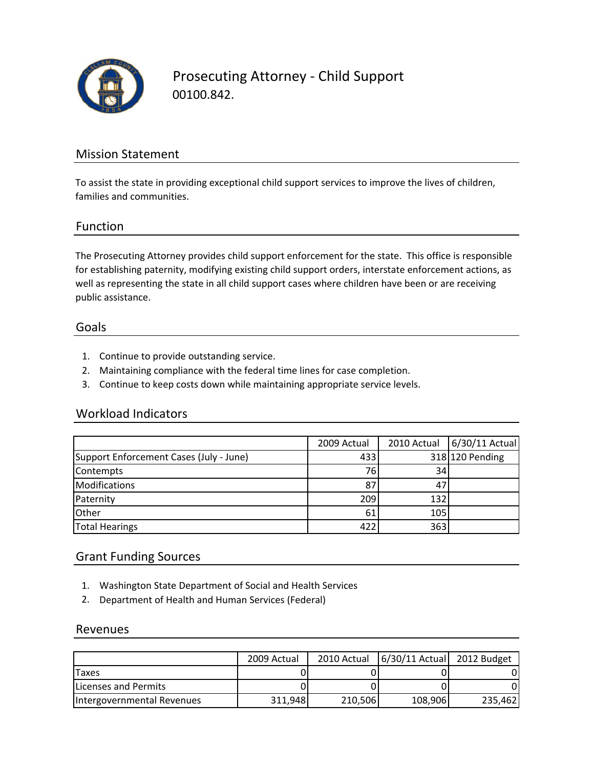

Prosecuting Attorney ‐ Child Support 00100.842.

### Mission Statement

To assist the state in providing exceptional child support services to improve the lives of children, families and communities.

#### Function

The Prosecuting Attorney provides child support enforcement for the state. This office is responsible for establishing paternity, modifying existing child support orders, interstate enforcement actions, as well as representing the state in all child support cases where children have been or are receiving public assistance.

#### Goals

- 1. Continue to provide outstanding service.
- 2. Maintaining compliance with the federal time lines for case completion.
- 3. Continue to keep costs down while maintaining appropriate service levels.

#### Workload Indicators

|                                         | 2009 Actual | 2010 Actual     | 6/30/11 Actual  |
|-----------------------------------------|-------------|-----------------|-----------------|
| Support Enforcement Cases (July - June) | 433         |                 | 318 120 Pending |
| Contempts                               | 76          | 34 <sub>1</sub> |                 |
| <b>Modifications</b>                    | 87          | 47              |                 |
| Paternity                               | 209         | 132             |                 |
| Other                                   | 61          | 105             |                 |
| <b>Total Hearings</b>                   | 422         | 363             |                 |

#### Grant Funding Sources

- 1. Washington State Department of Social and Health Services
- 2. Department of Health and Human Services (Federal)

#### Revenues

|                              | 2009 Actual | 2010 Actual | 6/30/11 Actual 2012 Budget |         |
|------------------------------|-------------|-------------|----------------------------|---------|
| <b>Taxes</b>                 |             |             |                            |         |
| <b>ILicenses and Permits</b> |             |             |                            |         |
| Intergovernmental Revenues   | 311,948     | 210,506     | 108,906                    | 235,462 |